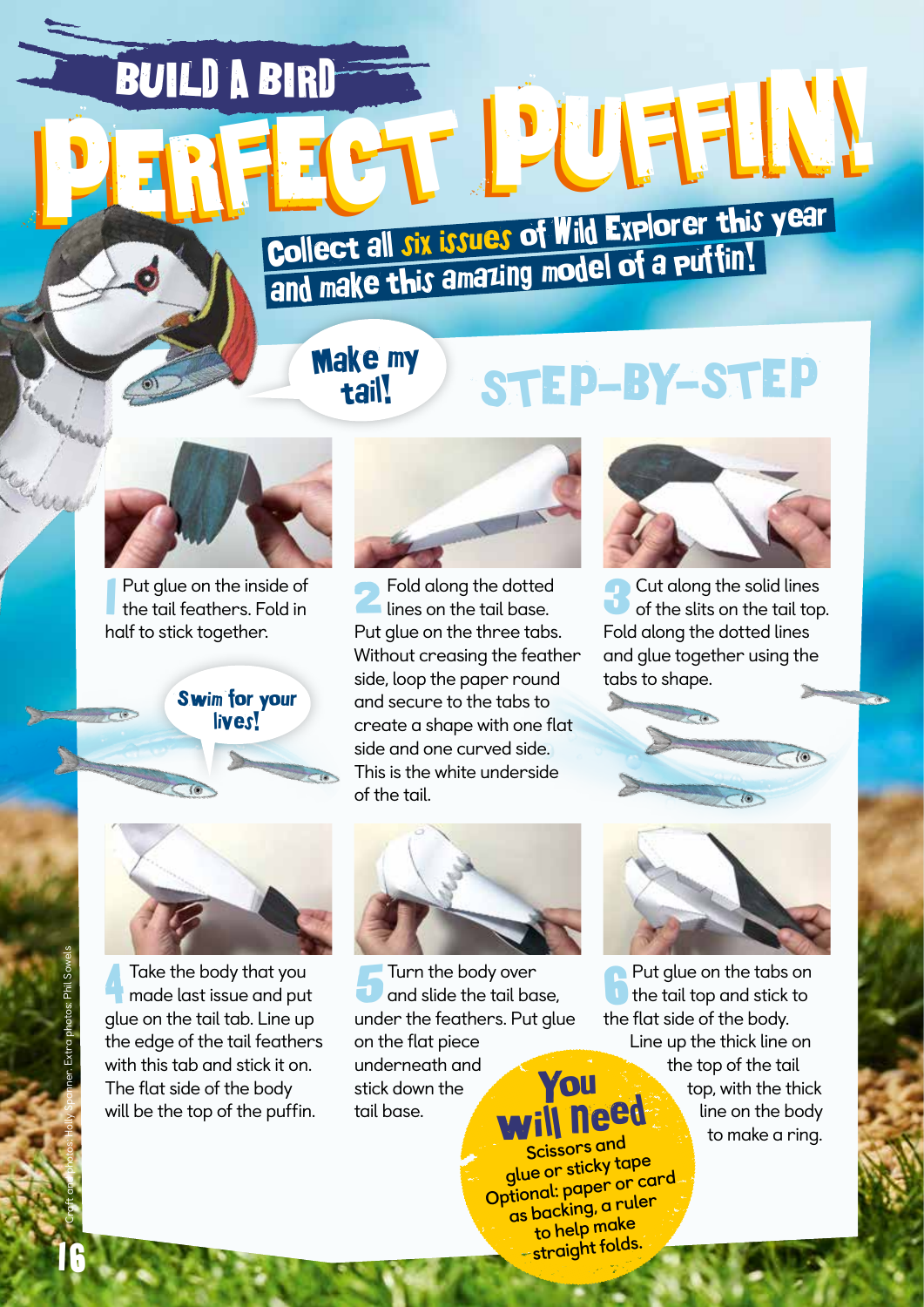BUILD A BIRD **PERFECT PUFFIN!** 

## Collect all six issues of Wild Explorer this year Collect all JIX bands of make of a puttin!

## Make my tail!

## STEP-BY-STEP



1 Put glue on the inside of the tail feathers. Fold in half to stick together.

Swim for your



4 Take the body that you made last issue and put glue on the tail tab. Line up the edge of the tail feathers with this tab and stick it on. The flat side of the body will be the top of the puffin.



**2** Fold along the dotted lines on the tail base. Put glue on the three tabs. Without creasing the feather side, loop the paper round and secure to the tabs to create a shape with one flat side and one curved side. This is the white underside of the tail.

Turn the body over<br>
and slide the tail base,

under the feathers. Put glue

on the flat piece underneath and stick down the tail base.



**3Cut along the solid lines** of the slits on the tail top. Fold along the dotted lines and glue together using the tabs to shape.



Put glue on the tabs on the tail top and stick to the flat side of the body. Line up the thick line on the top of the tail top, with the thick line on the body to make a ring. You will need **Scissors and glue or sticky tape Optional: paper or card as backing, a ruler** 

**to help make straight folds.**